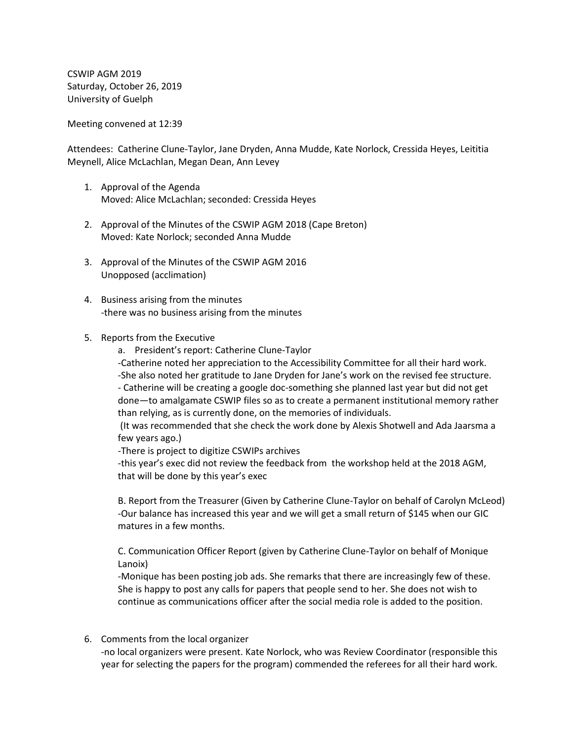CSWIP AGM 2019 Saturday, October 26, 2019 University of Guelph

Meeting convened at 12:39

Attendees: Catherine Clune-Taylor, Jane Dryden, Anna Mudde, Kate Norlock, Cressida Heyes, Leititia Meynell, Alice McLachlan, Megan Dean, Ann Levey

- 1. Approval of the Agenda Moved: Alice McLachlan; seconded: Cressida Heyes
- 2. Approval of the Minutes of the CSWIP AGM 2018 (Cape Breton) Moved: Kate Norlock; seconded Anna Mudde
- 3. Approval of the Minutes of the CSWIP AGM 2016 Unopposed (acclimation)
- 4. Business arising from the minutes -there was no business arising from the minutes
- 5. Reports from the Executive
	- a. President's report: Catherine Clune-Taylor

-Catherine noted her appreciation to the Accessibility Committee for all their hard work. -She also noted her gratitude to Jane Dryden for Jane's work on the revised fee structure. - Catherine will be creating a google doc-something she planned last year but did not get done—to amalgamate CSWIP files so as to create a permanent institutional memory rather than relying, as is currently done, on the memories of individuals.

(It was recommended that she check the work done by Alexis Shotwell and Ada Jaarsma a few years ago.)

-There is project to digitize CSWIPs archives

-this year's exec did not review the feedback from the workshop held at the 2018 AGM, that will be done by this year's exec

B. Report from the Treasurer (Given by Catherine Clune-Taylor on behalf of Carolyn McLeod) -Our balance has increased this year and we will get a small return of \$145 when our GIC matures in a few months.

C. Communication Officer Report (given by Catherine Clune-Taylor on behalf of Monique Lanoix)

-Monique has been posting job ads. She remarks that there are increasingly few of these. She is happy to post any calls for papers that people send to her. She does not wish to continue as communications officer after the social media role is added to the position.

6. Comments from the local organizer

-no local organizers were present. Kate Norlock, who was Review Coordinator (responsible this year for selecting the papers for the program) commended the referees for all their hard work.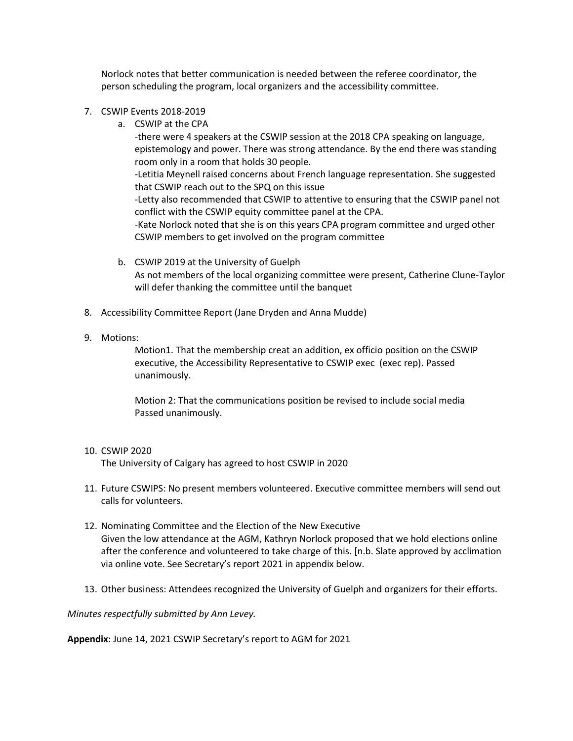Norlock notes that better communication is needed between the referee coordinator, the person scheduling the program, local organizers and the accessibility committee.

- 7. CSWIP Events 2018-2019
	- a. CSWIP at the CPA

-there were 4 speakers at the CSWIP session at the 2018 CPA speaking on language, epistemology and power. There was strong attendance. By the end there was standing room only in a room that holds 30 people. -Letitia Meynell raised concerns about French language representation. She suggested that CSWIP reach out to the SPQ on this issue -Letty also recommended that CSWIP to attentive to ensuring that the CSWIP panel not conflict with the CSWIP equity committee panel at the CPA. -Kate Norlock noted that she is on this years CPA program committee and urged other CSWIP members to get involved on the program committee

- b. CSWIP 2019 at the University of Guelph As not members of the local organizing committee were present, Catherine Clune-Taylor will defer thanking the committee until the banquet
- 8. Accessibility Committee Report (Jane Dryden and Anna Mudde)
- 9. Motions:

Motion1. That the membership creat an addition, ex officio position on the CSWIP executive, the Accessibility Representative to CSWIP exec (exec rep). Passed unanimously.

Motion 2: That the communications position be revised to include social media Passed unanimously.

10. CSWIP 2020

The University of Calgary has agreed to host CSWIP in 2020

- 11. Future CSWIPS: No present members volunteered. Executive committee members will send out calls for volunteers.
- 12. Nominating Committee and the Election of the New Executive Given the low attendance at the AGM, Kathryn Norlock proposed that we hold elections online after the conference and volunteered to take charge of this. [n.b. Slate approved by acclimation via online vote. See Secretary's report 2021 in appendix below.
- 13. Other business: Attendees recognized the University of Guelph and organizers for their efforts.

*Minutes respectfully submitted by Ann Levey.*

**Appendix**: June 14, 2021 CSWIP Secretary's report to AGM for 2021